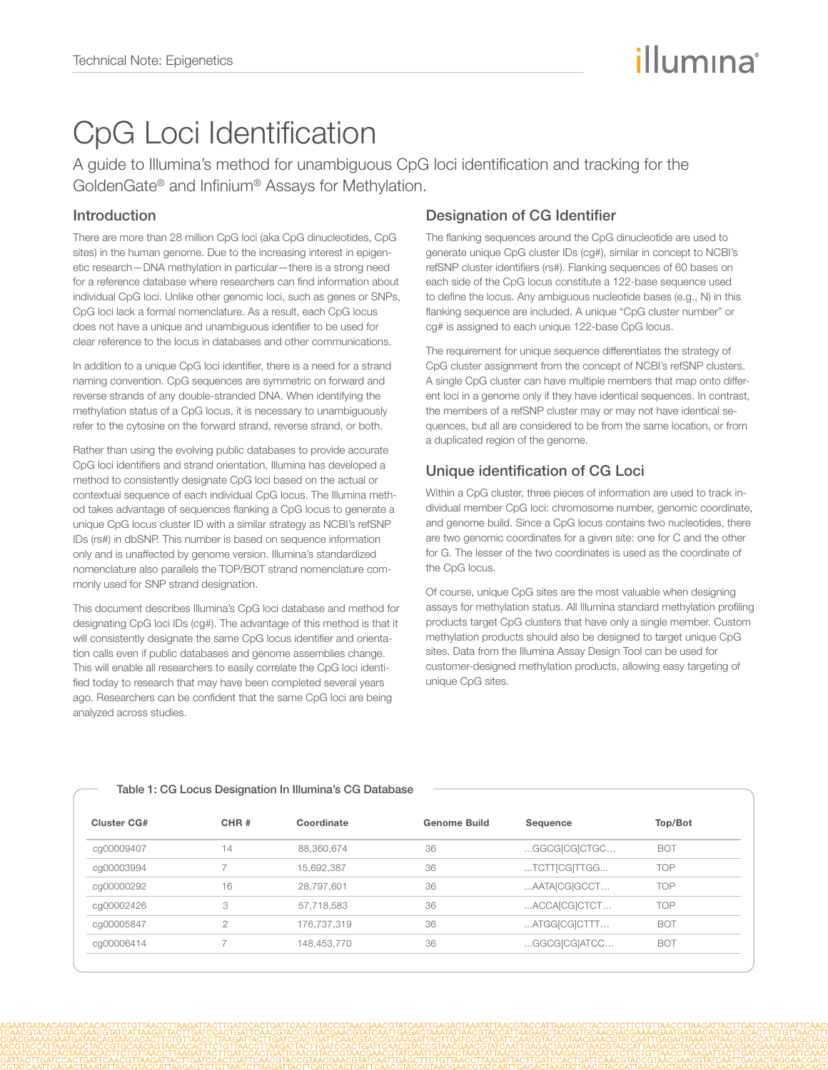# illumına

## CpG Loci Identification

A guide to Illumina's method for unambiguous CpG loci identification and tracking for the GoldenGate® and Infinium® Assays for Methylation.

#### Introduction

There are more than 28 million CpG loci (aka CpG dinucleotides, CpG sites) in the human genome. Due to the increasing interest in epigenetic research—DNA methylation in particular—there is a strong need for a reference database where researchers can find information about individual CpG loci. Unlike other genomic loci, such as genes or SNPs, CpG loci lack a formal nomenclature. As a result, each CpG locus does not have a unique and unambiguous identifier to be used for clear reference to the locus in databases and other communications.

In addition to a unique CpG loci identifier, there is a need for a strand naming convention. CpG sequences are symmetric on forward and reverse strands of any double-stranded DNA. When identifying the methylation status of a CpG locus, it is necessary to unambiguously refer to the cytosine on the forward strand, reverse strand, or both.

Rather than using the evolving public databases to provide accurate CpG loci identifiers and strand orientation, Illumina has developed a method to consistently designate CpG loci based on the actual or contextual sequence of each individual CpG locus. The Illumina method takes advantage of sequences flanking a CpG locus to generate a unique CpG locus cluster ID with a similar strategy as NCBI's refSNP IDs (rs#) in dbSNP. This number is based on sequence information only and is unaffected by genome version. Illumina's standardized nomenclature also parallels the TOP/BOT strand nomenclature commonly used for SNP strand designation.

This document describes Illumina's CpG loci database and method for designating CpG loci IDs (cg#). The advantage of this method is that it will consistently designate the same CpG locus identifier and orientation calls even if public databases and genome assemblies change. This will enable all researchers to easily correlate the CpG loci identified today to research that may have been completed several years ago. Researchers can be confident that the same CpG loci are being analyzed across studies.

#### Designation of CG Identifier

The flanking sequences around the CpG dinucleotide are used to generate unique CpG cluster IDs (cg#), similar in concept to NCBI's refSNP cluster identifiers (rs#). Flanking sequences of 60 bases on each side of the CpG locus constitute a 122-base sequence used to define the locus. Any ambiguous nucleotide bases (e.g., N) in this flanking sequence are included. A unique "CpG cluster number" or cg# is assigned to each unique 122-base CpG locus.

The requirement for unique sequence differentiates the strategy of CpG cluster assignment from the concept of NCBI's refSNP clusters. A single CpG cluster can have multiple members that map onto different loci in a genome only if they have identical sequences. In contrast, the members of a refSNP cluster may or may not have identical sequences, but all are considered to be from the same location, or from a duplicated region of the genome.

## Unique identification of CG Loci

Within a CpG cluster, three pieces of information are used to track individual member CpG loci: chromosome number, genomic coordinate, and genome build. Since a CpG locus contains two nucleotides, there are two genomic coordinates for a given site: one for C and the other for G. The lesser of the two coordinates is used as the coordinate of the CpG locus.

Of course, unique CpG sites are the most valuable when designing assays for methylation status. All Illumina standard methylation profiling products target CpG clusters that have only a single member. Custom methylation products should also be designed to target unique CpG sites. Data from the Illumina Assay Design Tool can be used for customer-designed methylation products, allowing easy targeting of unique CpG sites.

| <b>Cluster CG#</b> | CHR#           | Coordinate  | <b>Genome Build</b> | <b>Sequence</b>        | Top/Bot    |
|--------------------|----------------|-------------|---------------------|------------------------|------------|
| cg00009407         | 14             | 88.360.674  | 36                  | GGCG[CG]CTGC           | <b>BOT</b> |
| cg00003994         |                | 15.692.387  | 36                  | $$ TCTT $[CG]TTGG$     | <b>TOP</b> |
| cg00000292         | 16             | 28,797,601  | 36                  | $$ AATA $[CG]$ GCCT $$ | <b>TOP</b> |
| cg00002426         | 3              | 57,718,583  | 36                  | $$ $ACCA[CG]CTCT$      | <b>TOP</b> |
| cq00005847         | $\overline{c}$ | 176,737,319 | 36                  | $ATGG[CG]$ CTTT $$     | <b>BOT</b> |
| cg00006414         |                | 148,453,770 | 36                  | GGCG[CG]ATCC           | <b>BOT</b> |

#### Table 1: CG Locus Designation In Illumina's CG Database